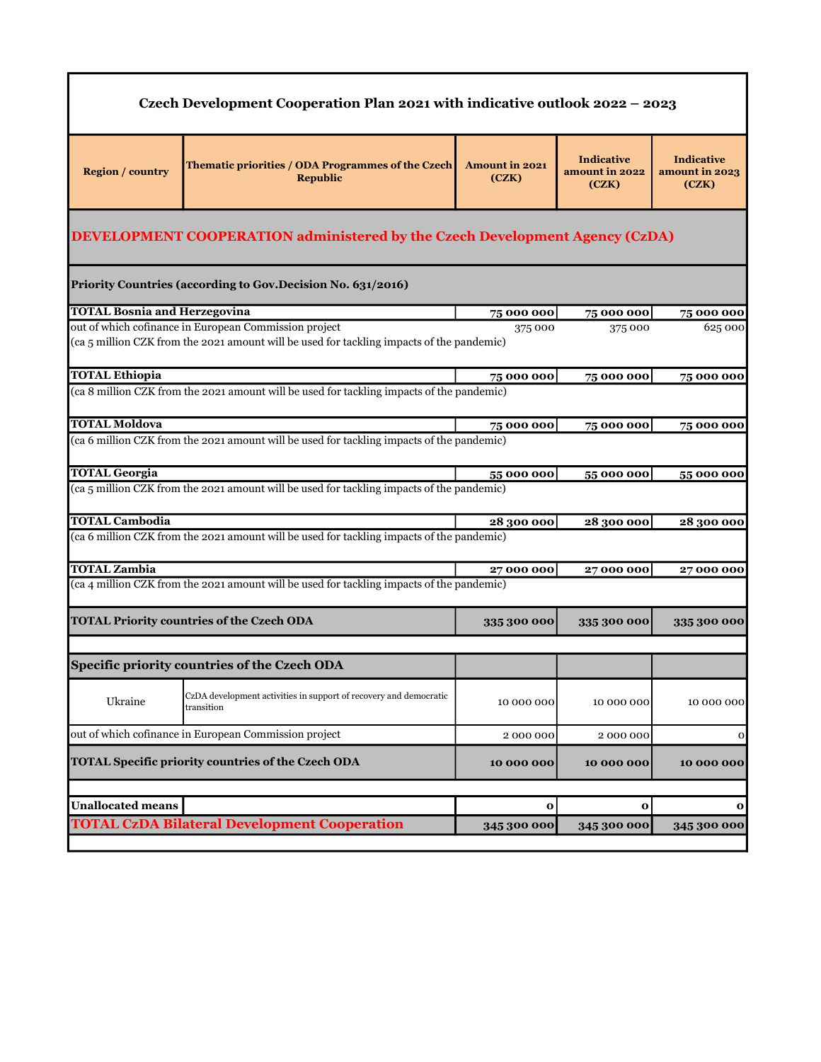| Czech Development Cooperation Plan 2021 with indicative outlook 2022 - 2023 |                                                                                                                                                    |                                |                                              |                                              |  |
|-----------------------------------------------------------------------------|----------------------------------------------------------------------------------------------------------------------------------------------------|--------------------------------|----------------------------------------------|----------------------------------------------|--|
| <b>Region / country</b>                                                     | Thematic priorities / ODA Programmes of the Czech<br><b>Republic</b>                                                                               | <b>Amount in 2021</b><br>(CZK) | <b>Indicative</b><br>amount in 2022<br>(CZK) | <b>Indicative</b><br>amount in 2023<br>(CZK) |  |
|                                                                             | DEVELOPMENT COOPERATION administered by the Czech Development Agency (CzDA)                                                                        |                                |                                              |                                              |  |
|                                                                             | Priority Countries (according to Gov.Decision No. 631/2016)                                                                                        |                                |                                              |                                              |  |
| <b>TOTAL Bosnia and Herzegovina</b>                                         |                                                                                                                                                    | 75 000 000                     | 75 000 000                                   | 75 000 000                                   |  |
|                                                                             | out of which cofinance in European Commission project<br>(ca 5 million CZK from the 2021 amount will be used for tackling impacts of the pandemic) | 375 000                        | 375 000                                      | 625 000                                      |  |
| <b>TOTAL Ethiopia</b>                                                       |                                                                                                                                                    | 75 000 000                     | 75 000 000                                   | 75 000 000                                   |  |
|                                                                             | (ca 8 million CZK from the 2021 amount will be used for tackling impacts of the pandemic)                                                          |                                |                                              |                                              |  |
| <b>TOTAL Moldova</b>                                                        |                                                                                                                                                    | 75 000 000                     | 75 000 000                                   | 75 000 000                                   |  |
|                                                                             | (ca 6 million CZK from the 2021 amount will be used for tackling impacts of the pandemic)                                                          |                                |                                              |                                              |  |
| <b>TOTAL Georgia</b>                                                        | (ca 5 million CZK from the 2021 amount will be used for tackling impacts of the pandemic)                                                          | 55 000 000                     | 55 000 000                                   | 55 000 000                                   |  |
| <b>TOTAL Cambodia</b>                                                       |                                                                                                                                                    | 28 300 000                     | 28 300 000                                   | 28 300 000                                   |  |
|                                                                             | (ca 6 million CZK from the 2021 amount will be used for tackling impacts of the pandemic)                                                          |                                |                                              |                                              |  |
| <b>TOTAL Zambia</b>                                                         |                                                                                                                                                    | 27000000                       | 27000000                                     | 27000000                                     |  |
|                                                                             | (ca 4 million CZK from the 2021 amount will be used for tackling impacts of the pandemic)                                                          |                                |                                              |                                              |  |
|                                                                             | <b>TOTAL Priority countries of the Czech ODA</b>                                                                                                   | 335 300 000                    | 335 300 000                                  | 335 300 000                                  |  |
|                                                                             |                                                                                                                                                    |                                |                                              |                                              |  |
|                                                                             | Specific priority countries of the Czech ODA                                                                                                       |                                |                                              |                                              |  |
| Ukraine                                                                     | CzDA development activities in support of recovery and democratic<br>transition                                                                    | 10 000 000                     | 10 000 000                                   | 10 000 000                                   |  |
|                                                                             | out of which cofinance in European Commission project                                                                                              | 2000000                        | 2000000                                      | 0                                            |  |
|                                                                             | <b>TOTAL Specific priority countries of the Czech ODA</b>                                                                                          | 10 000 000                     | 10 000 000                                   | 10 000 000                                   |  |
| <b>Unallocated means</b>                                                    |                                                                                                                                                    | $\mathbf{o}$                   | $\mathbf{o}$                                 | $\bf{o}$                                     |  |
|                                                                             |                                                                                                                                                    |                                |                                              |                                              |  |
|                                                                             | <b>TOTAL CzDA Bilateral Development Cooperation</b>                                                                                                | 345 300 000                    | 345 300 000                                  | 345 300 000                                  |  |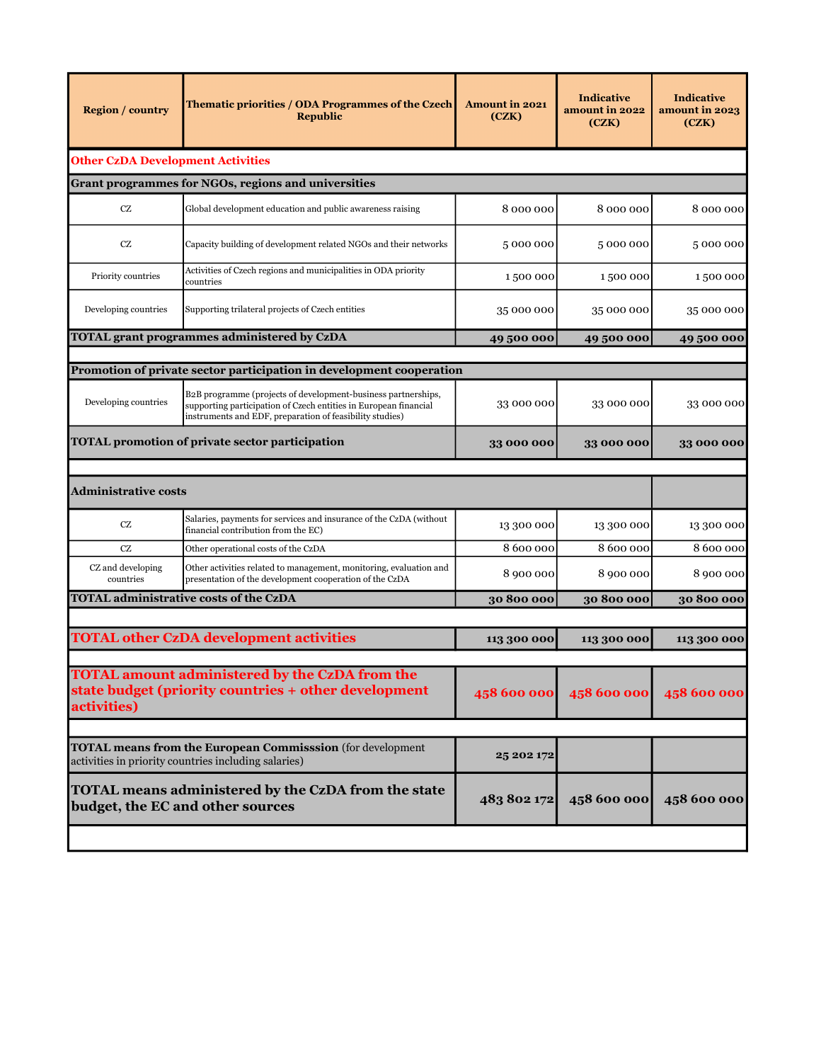| <b>Region / country</b>                  | Thematic priorities / ODA Programmes of the Czech<br><b>Republic</b>                                                                                                                          | <b>Amount in 2021</b><br>(CZK) | <b>Indicative</b><br>amount in 2022<br>(CZK) | <b>Indicative</b><br>amount in 2023<br>(CZK) |
|------------------------------------------|-----------------------------------------------------------------------------------------------------------------------------------------------------------------------------------------------|--------------------------------|----------------------------------------------|----------------------------------------------|
| <b>Other CzDA Development Activities</b> |                                                                                                                                                                                               |                                |                                              |                                              |
|                                          | Grant programmes for NGOs, regions and universities                                                                                                                                           |                                |                                              |                                              |
| <b>CZ</b>                                | Global development education and public awareness raising                                                                                                                                     | 8000000                        | 8 000 000                                    | 8 000 000                                    |
| CZ                                       | Capacity building of development related NGOs and their networks                                                                                                                              | 5000000                        | 5000000                                      | 5000000                                      |
| Priority countries                       | Activities of Czech regions and municipalities in ODA priority<br>countries                                                                                                                   | 1500 000                       | 1500 000                                     | 1500000                                      |
| Developing countries                     | Supporting trilateral projects of Czech entities                                                                                                                                              | 35 000 000                     | 35 000 000                                   | 35 000 000                                   |
|                                          | <b>TOTAL grant programmes administered by CzDA</b>                                                                                                                                            | 49 500 000                     | 49500000                                     | 49 500 000                                   |
|                                          |                                                                                                                                                                                               |                                |                                              |                                              |
|                                          | Promotion of private sector participation in development cooperation                                                                                                                          |                                |                                              |                                              |
| Developing countries                     | B2B programme (projects of development-business partnerships,<br>supporting participation of Czech entities in European financial<br>instruments and EDF, preparation of feasibility studies) | 33 000 000                     | 33 000 000                                   | 33 000 000                                   |
|                                          | <b>TOTAL promotion of private sector participation</b>                                                                                                                                        | 33 000 000                     | 33 000 000                                   | 33 000 000                                   |
| <b>Administrative costs</b>              |                                                                                                                                                                                               |                                |                                              |                                              |
| $\operatorname{CZ}$                      | Salaries, payments for services and insurance of the CzDA (without<br>financial contribution from the EC)                                                                                     | 13 300 000                     | 13 300 000                                   | 13 300 000                                   |
| <b>CZ</b>                                | Other operational costs of the CzDA                                                                                                                                                           | 8 600 000                      | 8 600 000                                    | 8 600 000                                    |
| CZ and developing<br>countries           | Other activities related to management, monitoring, evaluation and<br>presentation of the development cooperation of the CzDA                                                                 | 8 900 000                      | 8 900 000                                    | 8 900 000                                    |
|                                          | <b>TOTAL administrative costs of the CzDA</b>                                                                                                                                                 | 30 800 000                     | 30 800 000                                   | 30 800 000                                   |
|                                          |                                                                                                                                                                                               |                                |                                              |                                              |
|                                          | <b>TOTAL other CzDA development activities</b>                                                                                                                                                | 113 300 000                    | 113 300 000                                  | 113 300 000                                  |
| activities)                              | <b>TOTAL amount administered by the CzDA from the</b><br>state budget (priority countries + other development                                                                                 | 458 600 000                    | 458 600 000                                  | 458 600 000                                  |
|                                          |                                                                                                                                                                                               |                                |                                              |                                              |
|                                          | <b>TOTAL means from the European Commisssion</b> (for development<br>activities in priority countries including salaries)                                                                     | 25 202 172                     |                                              |                                              |
|                                          | TOTAL means administered by the CzDA from the state<br>budget, the EC and other sources                                                                                                       | 483 802 172                    | 458 600 000                                  | 458 600 000                                  |
|                                          |                                                                                                                                                                                               |                                |                                              |                                              |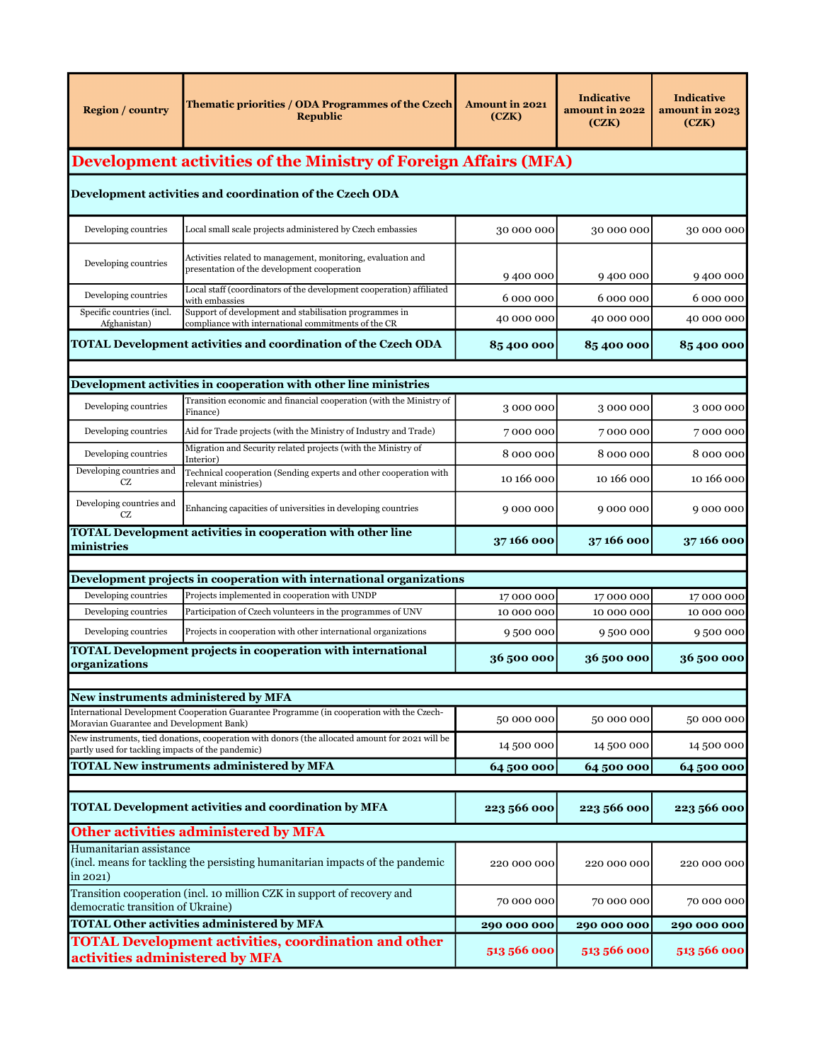| <b>Region / country</b>                                                                                      | Thematic priorities / ODA Programmes of the Czech<br><b>Republic</b>                                                                    | <b>Amount in 2021</b><br>(CZK) | <b>Indicative</b><br>amount in 2022<br>(CZK) | <b>Indicative</b><br>amount in 2023<br>(CZK) |
|--------------------------------------------------------------------------------------------------------------|-----------------------------------------------------------------------------------------------------------------------------------------|--------------------------------|----------------------------------------------|----------------------------------------------|
|                                                                                                              | <b>Development activities of the Ministry of Foreign Affairs (MFA)</b>                                                                  |                                |                                              |                                              |
|                                                                                                              | Development activities and coordination of the Czech ODA                                                                                |                                |                                              |                                              |
| Developing countries                                                                                         | Local small scale projects administered by Czech embassies                                                                              | 30 000 000                     | 30 000 000                                   | 30 000 000                                   |
| Developing countries                                                                                         | Activities related to management, monitoring, evaluation and<br>presentation of the development cooperation                             | 9400000                        | 9400000                                      | 9400000                                      |
| Developing countries                                                                                         | Local staff (coordinators of the development cooperation) affiliated<br>with embassies                                                  | 6 000 000                      | 6 000 000                                    | 6 000 000                                    |
| Specific countries (incl.<br>Afghanistan)                                                                    | Support of development and stabilisation programmes in<br>compliance with international commitments of the CR                           | 40 000 000                     | 40 000 000                                   | 40 000 000                                   |
|                                                                                                              | <b>TOTAL Development activities and coordination of the Czech ODA</b>                                                                   | 85400000                       | 85 400 000                                   | 85400000                                     |
|                                                                                                              |                                                                                                                                         |                                |                                              |                                              |
|                                                                                                              | Development activities in cooperation with other line ministries<br>Transition economic and financial cooperation (with the Ministry of |                                |                                              |                                              |
| Developing countries                                                                                         | Finance)                                                                                                                                | 3000000                        | 3000000                                      | 3000000                                      |
| Developing countries                                                                                         | Aid for Trade projects (with the Ministry of Industry and Trade)                                                                        | 7000000                        | 7000000                                      | 7000000                                      |
| Developing countries                                                                                         | Migration and Security related projects (with the Ministry of<br>Interior)                                                              | 8 000 000                      | 8000000                                      | 8 000 000                                    |
| Developing countries and<br><b>CZ</b>                                                                        | Technical cooperation (Sending experts and other cooperation with<br>relevant ministries)                                               | 10 166 000                     | 10 166 000                                   | 10 166 000                                   |
| Developing countries and<br><b>CZ</b>                                                                        | Enhancing capacities of universities in developing countries                                                                            | 9 000 000                      | 9000000                                      | 9000000                                      |
| ministries                                                                                                   | <b>TOTAL Development activities in cooperation with other line</b>                                                                      | 37 166 000                     | 37166000                                     | 37166000                                     |
|                                                                                                              | Development projects in cooperation with international organizations                                                                    |                                |                                              |                                              |
| Developing countries                                                                                         | Projects implemented in cooperation with UNDP                                                                                           | 17000000                       | 17000000                                     | 17000000                                     |
| Developing countries                                                                                         | Participation of Czech volunteers in the programmes of UNV                                                                              | 10 000 000                     | 10 000 000                                   | 10 000 000                                   |
| Developing countries                                                                                         | Projects in cooperation with other international organizations                                                                          | 9500000                        | 9500000                                      | 9500000                                      |
| organizations                                                                                                | <b>TOTAL Development projects in cooperation with international</b>                                                                     | 36 500 000                     | 36500000                                     | 36 500 000                                   |
|                                                                                                              |                                                                                                                                         |                                |                                              |                                              |
| New instruments administered by MFA                                                                          | International Development Cooperation Guarantee Programme (in cooperation with the Czech-                                               |                                |                                              |                                              |
| Moravian Guarantee and Development Bank)                                                                     | New instruments, tied donations, cooperation with donors (the allocated amount for 2021 will be                                         | 50 000 000                     | 50 000 000                                   | 50 000 000                                   |
| partly used for tackling impacts of the pandemic)                                                            |                                                                                                                                         | 14 500 000                     | 14 500 000                                   | 14 500 000                                   |
|                                                                                                              | <b>TOTAL New instruments administered by MFA</b>                                                                                        | 64 500 000                     | 64500000                                     | 64 500 000                                   |
|                                                                                                              | <b>TOTAL Development activities and coordination by MFA</b>                                                                             | 223 566 000                    | 223 566 000                                  | 223 566 000                                  |
|                                                                                                              | Other activities administered by MFA                                                                                                    |                                |                                              |                                              |
| Humanitarian assistance<br>in 2021)                                                                          | (incl. means for tackling the persisting humanitarian impacts of the pandemic                                                           | 220 000 000                    | 220 000 000                                  | 220 000 000                                  |
| Transition cooperation (incl. 10 million CZK in support of recovery and<br>democratic transition of Ukraine) |                                                                                                                                         | 70 000 000                     | 70 000 000                                   | 70 000 000                                   |
|                                                                                                              | <b>TOTAL Other activities administered by MFA</b>                                                                                       |                                | 290 000 000                                  | 290 000 000                                  |
| <b>TOTAL Development activities, coordination and other</b><br>activities administered by MFA                |                                                                                                                                         | 513 566 000                    | 513 566 000                                  | 513 566 000                                  |